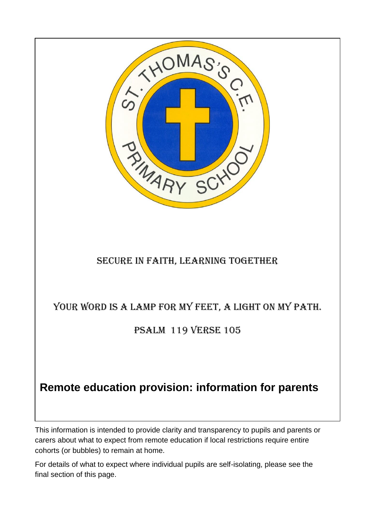

This information is intended to provide clarity and transparency to pupils and parents or carers about what to expect from remote education if local restrictions require entire cohorts (or bubbles) to remain at home.

For details of what to expect where individual pupils are self-isolating, please see the final section of this page.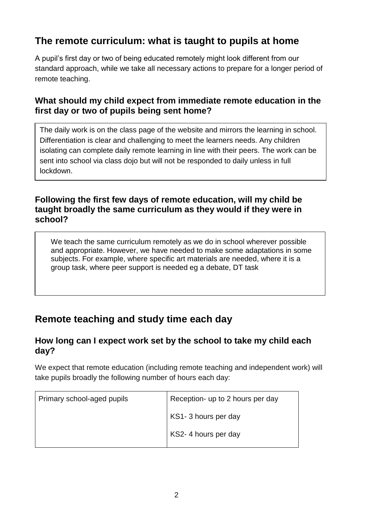# **The remote curriculum: what is taught to pupils at home**

A pupil's first day or two of being educated remotely might look different from our standard approach, while we take all necessary actions to prepare for a longer period of remote teaching.

## **What should my child expect from immediate remote education in the first day or two of pupils being sent home?**

The daily work is on the class page of the website and mirrors the learning in school. Differentiation is clear and challenging to meet the learners needs. Any children isolating can complete daily remote learning in line with their peers. The work can be sent into school via class dojo but will not be responded to daily unless in full lockdown.

### **Following the first few days of remote education, will my child be taught broadly the same curriculum as they would if they were in school?**

We teach the same curriculum remotely as we do in school wherever possible and appropriate. However, we have needed to make some adaptations in some subjects. For example, where specific art materials are needed, where it is a group task, where peer support is needed eg a debate, DT task

# **Remote teaching and study time each day**

## **How long can I expect work set by the school to take my child each day?**

We expect that remote education (including remote teaching and independent work) will take pupils broadly the following number of hours each day:

| Primary school-aged pupils | Reception- up to 2 hours per day |
|----------------------------|----------------------------------|
|                            | KS1-3 hours per day              |
|                            | KS2-4 hours per day              |
|                            |                                  |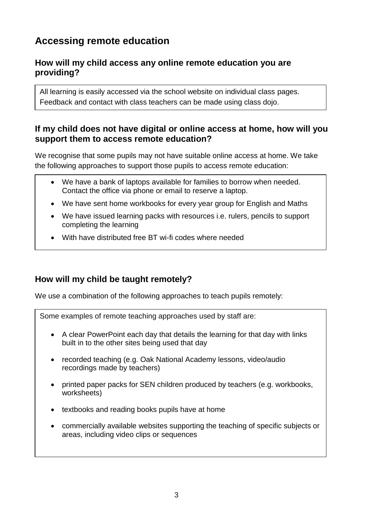# **Accessing remote education**

## **How will my child access any online remote education you are providing?**

All learning is easily accessed via the school website on individual class pages. Feedback and contact with class teachers can be made using class dojo.

### **If my child does not have digital or online access at home, how will you support them to access remote education?**

We recognise that some pupils may not have suitable online access at home. We take the following approaches to support those pupils to access remote education:

- We have a bank of laptops available for families to borrow when needed. Contact the office via phone or email to reserve a laptop.
- We have sent home workbooks for every year group for English and Maths
- We have issued learning packs with resources i.e. rulers, pencils to support completing the learning
- With have distributed free BT wi-fi codes where needed

## **How will my child be taught remotely?**

We use a combination of the following approaches to teach pupils remotely:

Some examples of remote teaching approaches used by staff are:

- A clear PowerPoint each day that details the learning for that day with links built in to the other sites being used that day
- recorded teaching (e.g. Oak National Academy lessons, video/audio recordings made by teachers)
- printed paper packs for SEN children produced by teachers (e.g. workbooks, worksheets)
- textbooks and reading books pupils have at home
- commercially available websites supporting the teaching of specific subjects or areas, including video clips or sequences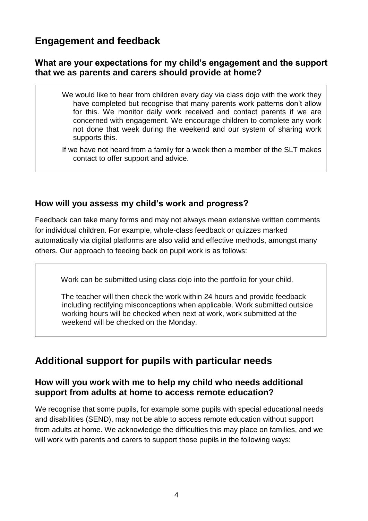## **Engagement and feedback**

### **What are your expectations for my child's engagement and the support that we as parents and carers should provide at home?**

- We would like to hear from children every day via class dojo with the work they have completed but recognise that many parents work patterns don't allow for this. We monitor daily work received and contact parents if we are concerned with engagement. We encourage children to complete any work not done that week during the weekend and our system of sharing work supports this.
- If we have not heard from a family for a week then a member of the SLT makes contact to offer support and advice.

## **How will you assess my child's work and progress?**

Feedback can take many forms and may not always mean extensive written comments for individual children. For example, whole-class feedback or quizzes marked automatically via digital platforms are also valid and effective methods, amongst many others. Our approach to feeding back on pupil work is as follows:

Work can be submitted using class dojo into the portfolio for your child.

 The teacher will then check the work within 24 hours and provide feedback including rectifying misconceptions when applicable. Work submitted outside working hours will be checked when next at work, work submitted at the weekend will be checked on the Monday.

## **Additional support for pupils with particular needs**

#### **How will you work with me to help my child who needs additional support from adults at home to access remote education?**

We recognise that some pupils, for example some pupils with special educational needs and disabilities (SEND), may not be able to access remote education without support from adults at home. We acknowledge the difficulties this may place on families, and we will work with parents and carers to support those pupils in the following ways: